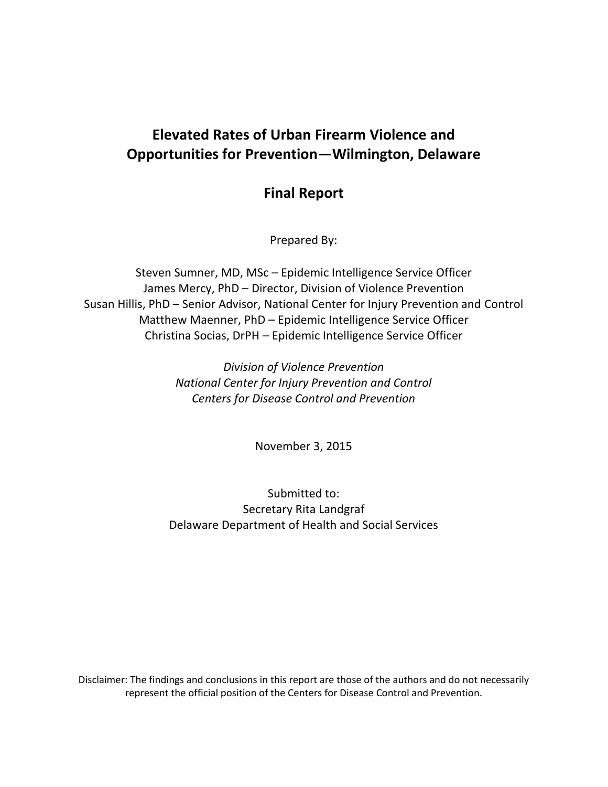# **Elevated Rates of Urban Firearm Violence and Opportunities for Prevention—Wilmington, Delaware**

## **Final Report**

Prepared By:

Steven Sumner, MD, MSc – Epidemic Intelligence Service Officer James Mercy, PhD – Director, Division of Violence Prevention Susan Hillis, PhD – Senior Advisor, National Center for Injury Prevention and Control Matthew Maenner, PhD – Epidemic Intelligence Service Officer Christina Socias, DrPH – Epidemic Intelligence Service Officer

> *Division of Violence Prevention National Center for Injury Prevention and Control Centers for Disease Control and Prevention*

> > November 3, 2015

Submitted to: Secretary Rita Landgraf Delaware Department of Health and Social Services

Disclaimer: The findings and conclusions in this report are those of the authors and do not necessarily represent the official position of the Centers for Disease Control and Prevention.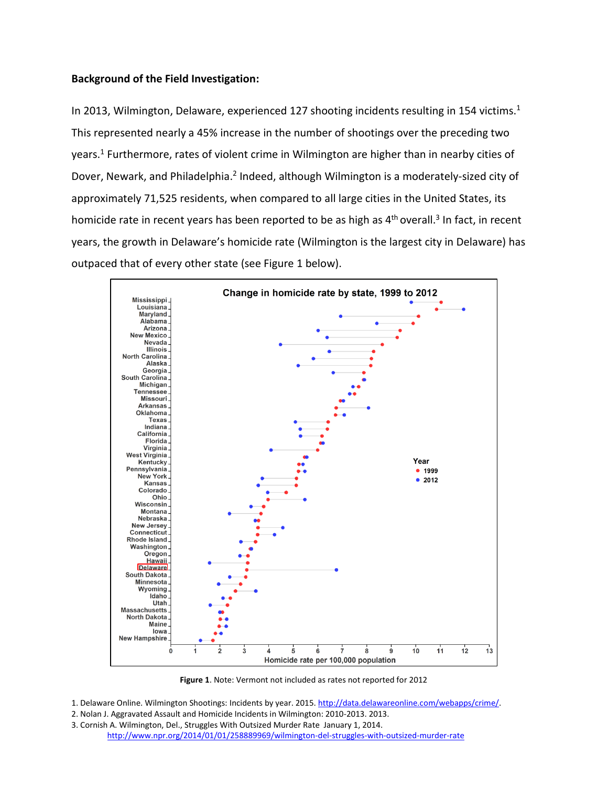## **Background of the Field Investigation:**

In 2013, Wilmington, Delaware, experienced 127 shooting incidents resulting in 154 victims.<sup>1</sup> This represented nearly a 45% increase in the number of shootings over the preceding two years. <sup>1</sup> Furthermore, rates of violent crime in Wilmington are higher than in nearby cities of Dover, Newark, and Philadelphia.<sup>2</sup> Indeed, although Wilmington is a moderately-sized city of approximately 71,525 residents, when compared to all large cities in the United States, its homicide rate in recent years has been reported to be as high as 4<sup>th</sup> overall.<sup>3</sup> In fact, in recent years, the growth in Delaware's homicide rate (Wilmington is the largest city in Delaware) has outpaced that of every other state (see Figure 1 below).



**Figure 1**. Note: Vermont not included as rates not reported for 2012

1. Delaware Online. Wilmington Shootings: Incidents by year. 2015[. http://data.delawareonline.com/webapps/crime/.](http://data.delawareonline.com/webapps/crime/)

- 2. Nolan J. Aggravated Assault and Homicide Incidents in Wilmington: 2010-2013. 2013.
- 3. Cornish A. Wilmington, Del., Struggles With Outsized Murder Rate January 1, 2014. <http://www.npr.org/2014/01/01/258889969/wilmington-del-struggles-with-outsized-murder-rate>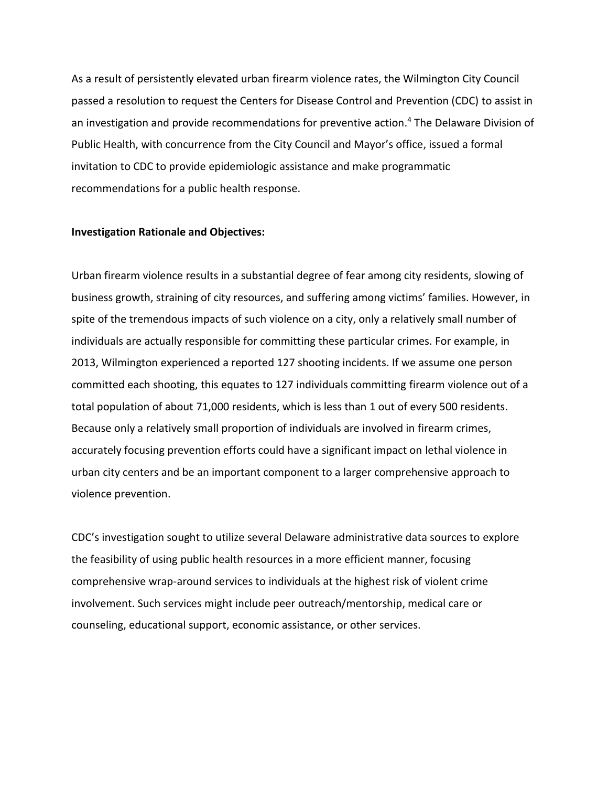As a result of persistently elevated urban firearm violence rates, the Wilmington City Council passed a resolution to request the Centers for Disease Control and Prevention (CDC) to assist in an investigation and provide recommendations for preventive action. <sup>4</sup> The Delaware Division of Public Health, with concurrence from the City Council and Mayor's office, issued a formal invitation to CDC to provide epidemiologic assistance and make programmatic recommendations for a public health response.

## **Investigation Rationale and Objectives:**

Urban firearm violence results in a substantial degree of fear among city residents, slowing of business growth, straining of city resources, and suffering among victims' families. However, in spite of the tremendous impacts of such violence on a city, only a relatively small number of individuals are actually responsible for committing these particular crimes. For example, in 2013, Wilmington experienced a reported 127 shooting incidents. If we assume one person committed each shooting, this equates to 127 individuals committing firearm violence out of a total population of about 71,000 residents, which is less than 1 out of every 500 residents. Because only a relatively small proportion of individuals are involved in firearm crimes, accurately focusing prevention efforts could have a significant impact on lethal violence in urban city centers and be an important component to a larger comprehensive approach to violence prevention.

CDC's investigation sought to utilize several Delaware administrative data sources to explore the feasibility of using public health resources in a more efficient manner, focusing comprehensive wrap-around services to individuals at the highest risk of violent crime involvement. Such services might include peer outreach/mentorship, medical care or counseling, educational support, economic assistance, or other services.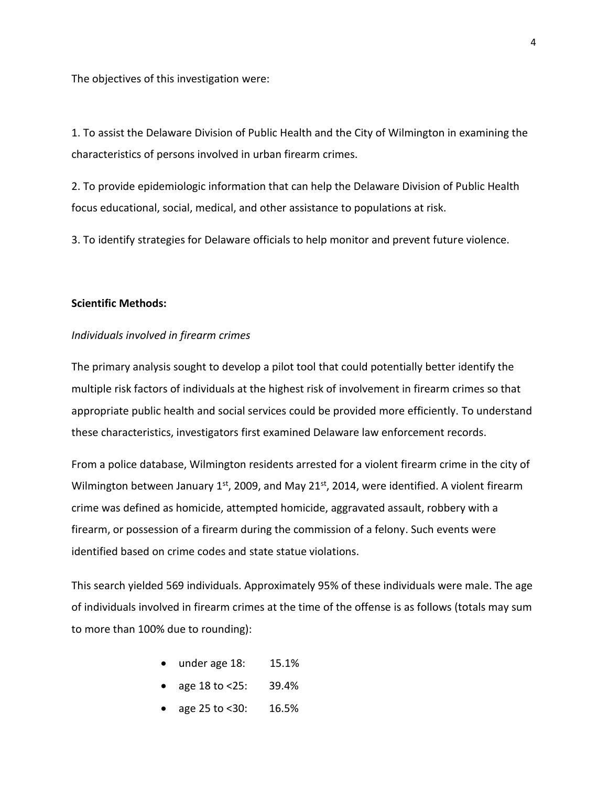The objectives of this investigation were:

1. To assist the Delaware Division of Public Health and the City of Wilmington in examining the characteristics of persons involved in urban firearm crimes.

2. To provide epidemiologic information that can help the Delaware Division of Public Health focus educational, social, medical, and other assistance to populations at risk.

3. To identify strategies for Delaware officials to help monitor and prevent future violence.

### **Scientific Methods:**

#### *Individuals involved in firearm crimes*

The primary analysis sought to develop a pilot tool that could potentially better identify the multiple risk factors of individuals at the highest risk of involvement in firearm crimes so that appropriate public health and social services could be provided more efficiently. To understand these characteristics, investigators first examined Delaware law enforcement records.

From a police database, Wilmington residents arrested for a violent firearm crime in the city of Wilmington between January  $1<sup>st</sup>$ , 2009, and May 21 $<sup>st</sup>$ , 2014, were identified. A violent firearm</sup> crime was defined as homicide, attempted homicide, aggravated assault, robbery with a firearm, or possession of a firearm during the commission of a felony. Such events were identified based on crime codes and state statue violations.

This search yielded 569 individuals. Approximately 95% of these individuals were male. The age of individuals involved in firearm crimes at the time of the offense is as follows (totals may sum to more than 100% due to rounding):

- under age 18: 15.1%
- age 18 to <25: 39.4%
- age 25 to <30: 16.5%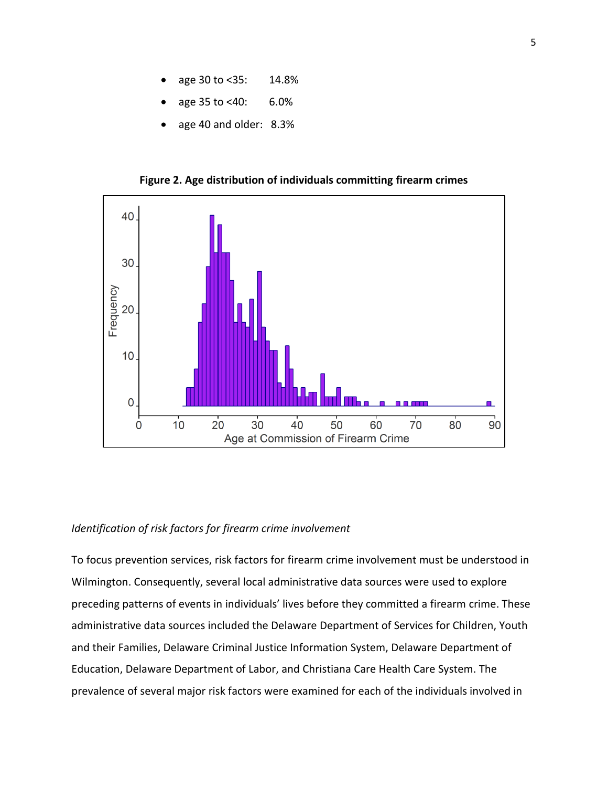- age 30 to <35: 14.8%
- age 35 to <40: 6.0%
- age 40 and older: 8.3%

**Figure 2. Age distribution of individuals committing firearm crimes**



#### *Identification of risk factors for firearm crime involvement*

To focus prevention services, risk factors for firearm crime involvement must be understood in Wilmington. Consequently, several local administrative data sources were used to explore preceding patterns of events in individuals' lives before they committed a firearm crime. These administrative data sources included the Delaware Department of Services for Children, Youth and their Families, Delaware Criminal Justice Information System, Delaware Department of Education, Delaware Department of Labor, and Christiana Care Health Care System. The prevalence of several major risk factors were examined for each of the individuals involved in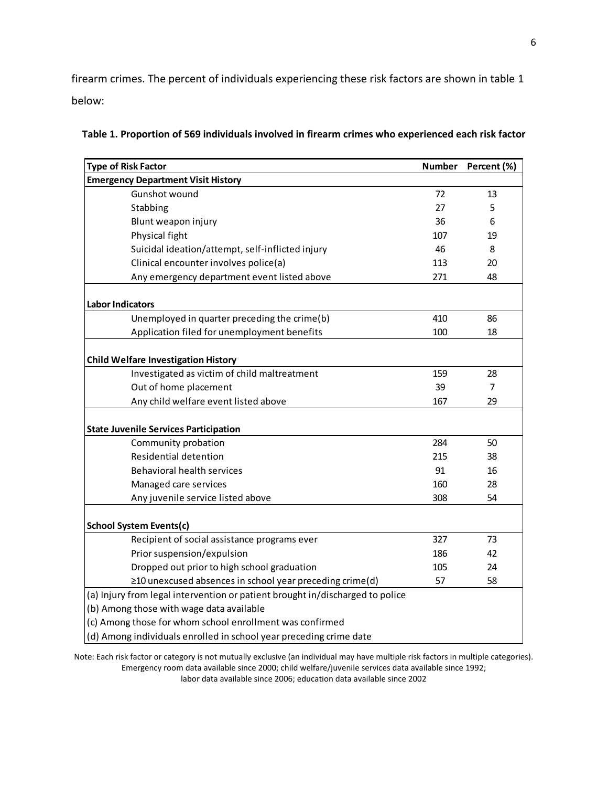firearm crimes. The percent of individuals experiencing these risk factors are shown in table 1 below:

| <b>Type of Risk Factor</b>                                                    | <b>Number</b> | Percent (%)    |
|-------------------------------------------------------------------------------|---------------|----------------|
| <b>Emergency Department Visit History</b>                                     |               |                |
| Gunshot wound                                                                 | 72            | 13             |
| Stabbing                                                                      | 27            | 5              |
| Blunt weapon injury                                                           | 36            | 6              |
| Physical fight                                                                | 107           | 19             |
| Suicidal ideation/attempt, self-inflicted injury                              | 46            | 8              |
| Clinical encounter involves police(a)                                         | 113           | 20             |
| Any emergency department event listed above                                   | 271           | 48             |
| <b>Labor Indicators</b>                                                       |               |                |
| Unemployed in quarter preceding the crime(b)                                  | 410           | 86             |
| Application filed for unemployment benefits                                   | 100           | 18             |
|                                                                               |               |                |
| <b>Child Welfare Investigation History</b>                                    |               |                |
| Investigated as victim of child maltreatment                                  | 159           | 28             |
| Out of home placement                                                         | 39            | $\overline{7}$ |
| Any child welfare event listed above                                          | 167           | 29             |
|                                                                               |               |                |
| <b>State Juvenile Services Participation</b>                                  |               |                |
| Community probation                                                           | 284           | 50             |
| Residential detention                                                         | 215           | 38             |
| <b>Behavioral health services</b>                                             | 91            | 16             |
| Managed care services                                                         | 160           | 28             |
| Any juvenile service listed above                                             | 308           | 54             |
| <b>School System Events(c)</b>                                                |               |                |
| Recipient of social assistance programs ever                                  | 327           | 73             |
| Prior suspension/expulsion                                                    | 186           | 42             |
| Dropped out prior to high school graduation                                   | 105           | 24             |
| ≥10 unexcused absences in school year preceding crime(d)                      | 57            | 58             |
| (a) Injury from legal intervention or patient brought in/discharged to police |               |                |
| (b) Among those with wage data available                                      |               |                |
| (c) Among those for whom school enrollment was confirmed                      |               |                |
| (d) Among individuals enrolled in school year preceding crime date            |               |                |

| Table 1. Proportion of 569 individuals involved in firearm crimes who experienced each risk factor |  |  |  |  |
|----------------------------------------------------------------------------------------------------|--|--|--|--|
|----------------------------------------------------------------------------------------------------|--|--|--|--|

Note: Each risk factor or category is not mutually exclusive (an individual may have multiple risk factors in multiple categories). Emergency room data available since 2000; child welfare/juvenile services data available since 1992; labor data available since 2006; education data available since 2002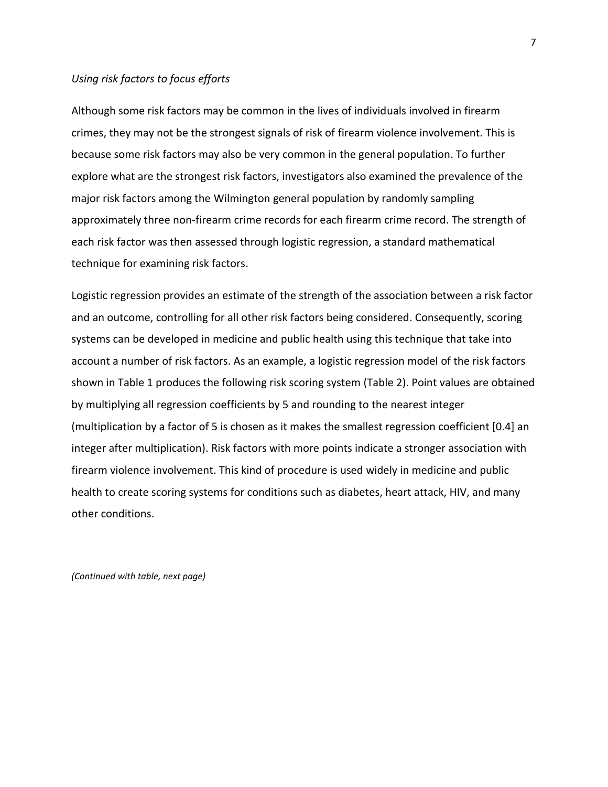## *Using risk factors to focus efforts*

Although some risk factors may be common in the lives of individuals involved in firearm crimes, they may not be the strongest signals of risk of firearm violence involvement. This is because some risk factors may also be very common in the general population. To further explore what are the strongest risk factors, investigators also examined the prevalence of the major risk factors among the Wilmington general population by randomly sampling approximately three non-firearm crime records for each firearm crime record. The strength of each risk factor was then assessed through logistic regression, a standard mathematical technique for examining risk factors.

Logistic regression provides an estimate of the strength of the association between a risk factor and an outcome, controlling for all other risk factors being considered. Consequently, scoring systems can be developed in medicine and public health using this technique that take into account a number of risk factors. As an example, a logistic regression model of the risk factors shown in Table 1 produces the following risk scoring system (Table 2). Point values are obtained by multiplying all regression coefficients by 5 and rounding to the nearest integer (multiplication by a factor of 5 is chosen as it makes the smallest regression coefficient [0.4] an integer after multiplication). Risk factors with more points indicate a stronger association with firearm violence involvement. This kind of procedure is used widely in medicine and public health to create scoring systems for conditions such as diabetes, heart attack, HIV, and many other conditions.

*(Continued with table, next page)*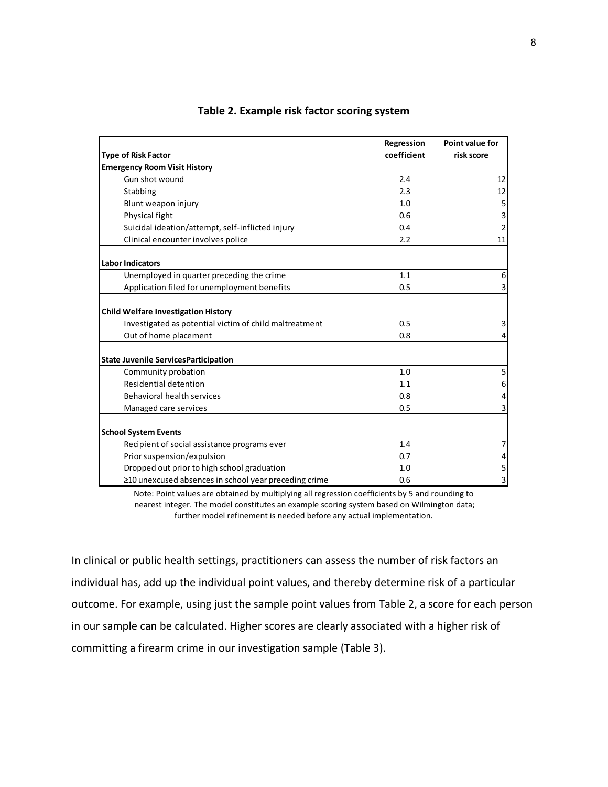|                                                        | Regression  | Point value for |
|--------------------------------------------------------|-------------|-----------------|
| <b>Type of Risk Factor</b>                             | coefficient | risk score      |
| <b>Emergency Room Visit History</b>                    |             |                 |
| Gun shot wound                                         | 2.4         | 12              |
| Stabbing                                               | 2.3         | 12              |
| Blunt weapon injury                                    | 1.0         | 5               |
| Physical fight                                         | 0.6         | 3               |
| Suicidal ideation/attempt, self-inflicted injury       | 0.4         | $\mathbf 2$     |
| Clinical encounter involves police                     | 2.2         | 11              |
| <b>Labor Indicators</b>                                |             |                 |
| Unemployed in quarter preceding the crime              | 1.1         | 6               |
| Application filed for unemployment benefits            | 0.5         | 3               |
| <b>Child Welfare Investigation History</b>             |             |                 |
| Investigated as potential victim of child maltreatment | 0.5         | 3               |
| Out of home placement                                  | 0.8         | 4               |
| <b>State Juvenile ServicesParticipation</b>            |             |                 |
| Community probation                                    | 1.0         | 5               |
| Residential detention                                  | 1.1         | 6               |
| Behavioral health services                             | 0.8         | 4               |
| Managed care services                                  | 0.5         | 3               |
| <b>School System Events</b>                            |             |                 |
| Recipient of social assistance programs ever           | 1.4         | $\overline{7}$  |
| Prior suspension/expulsion                             | 0.7         | 4               |
| Dropped out prior to high school graduation            | 1.0         | 5               |
| ≥10 unexcused absences in school year preceding crime  | 0.6         | 3               |

## **Table 2. Example risk factor scoring system**

Note: Point values are obtained by multiplying all regression coefficients by 5 and rounding to nearest integer. The model constitutes an example scoring system based on Wilmington data; further model refinement is needed before any actual implementation.

In clinical or public health settings, practitioners can assess the number of risk factors an individual has, add up the individual point values, and thereby determine risk of a particular outcome. For example, using just the sample point values from Table 2, a score for each person in our sample can be calculated. Higher scores are clearly associated with a higher risk of committing a firearm crime in our investigation sample (Table 3).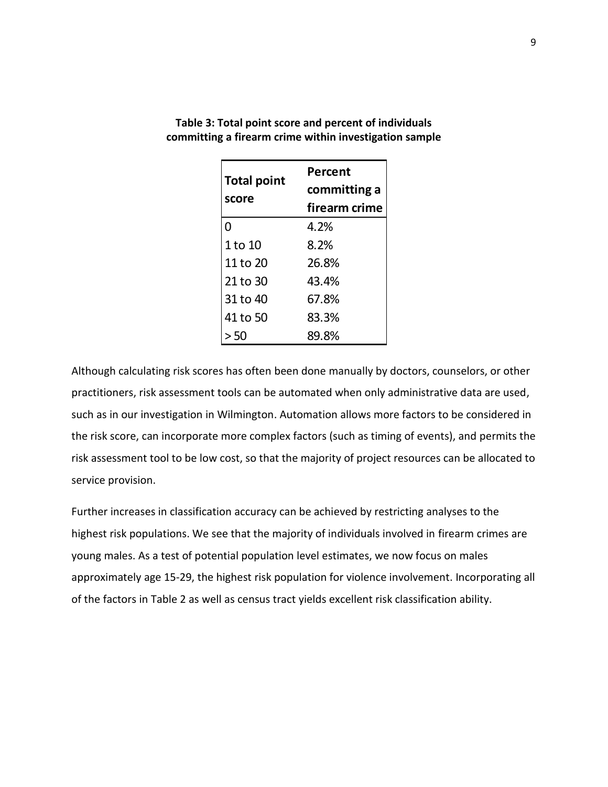| <b>Total point</b> | Percent       |  |
|--------------------|---------------|--|
|                    | committing a  |  |
| score              | firearm crime |  |
| $\Omega$           | 4.2%          |  |
| 1 to 10            | 8.2%          |  |
| 11 to 20           | 26.8%         |  |
| 21 to 30           | 43.4%         |  |
| 31 to 40           | 67.8%         |  |
| 41 to 50           | 83.3%         |  |
| 50                 | 89.8%         |  |

**Table 3: Total point score and percent of individuals committing a firearm crime within investigation sample**

Although calculating risk scores has often been done manually by doctors, counselors, or other practitioners, risk assessment tools can be automated when only administrative data are used, such as in our investigation in Wilmington. Automation allows more factors to be considered in the risk score, can incorporate more complex factors (such as timing of events), and permits the risk assessment tool to be low cost, so that the majority of project resources can be allocated to service provision.

Further increases in classification accuracy can be achieved by restricting analyses to the highest risk populations. We see that the majority of individuals involved in firearm crimes are young males. As a test of potential population level estimates, we now focus on males approximately age 15-29, the highest risk population for violence involvement. Incorporating all of the factors in Table 2 as well as census tract yields excellent risk classification ability.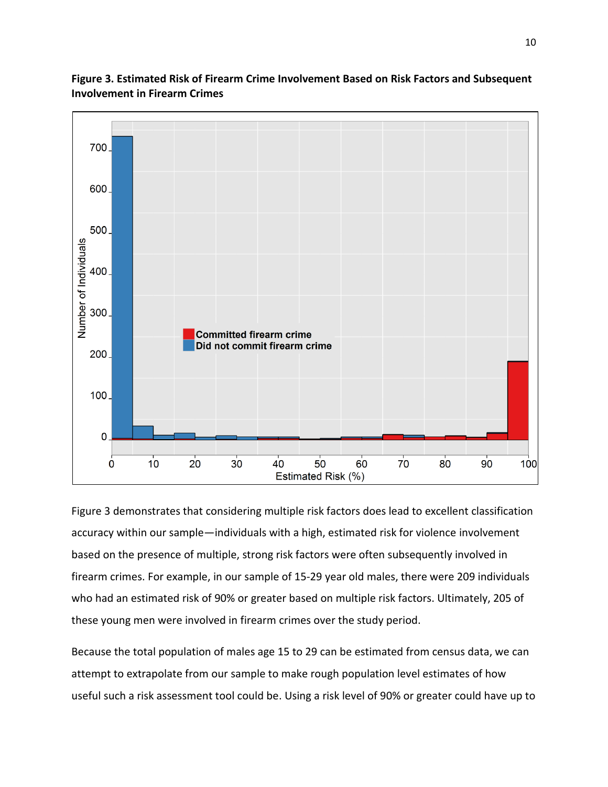

**Figure 3. Estimated Risk of Firearm Crime Involvement Based on Risk Factors and Subsequent Involvement in Firearm Crimes**

Figure 3 demonstrates that considering multiple risk factors does lead to excellent classification accuracy within our sample—individuals with a high, estimated risk for violence involvement based on the presence of multiple, strong risk factors were often subsequently involved in firearm crimes. For example, in our sample of 15-29 year old males, there were 209 individuals who had an estimated risk of 90% or greater based on multiple risk factors. Ultimately, 205 of these young men were involved in firearm crimes over the study period.

Because the total population of males age 15 to 29 can be estimated from census data, we can attempt to extrapolate from our sample to make rough population level estimates of how useful such a risk assessment tool could be. Using a risk level of 90% or greater could have up to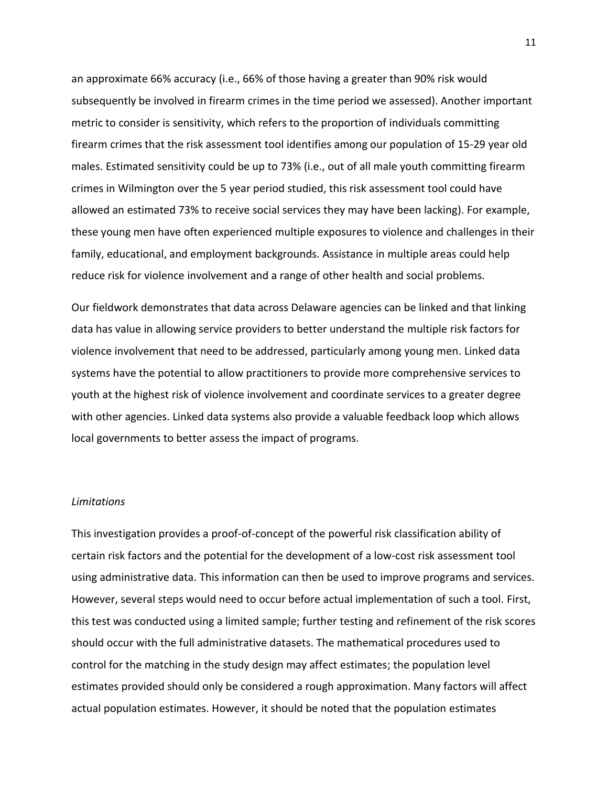an approximate 66% accuracy (i.e., 66% of those having a greater than 90% risk would subsequently be involved in firearm crimes in the time period we assessed). Another important metric to consider is sensitivity, which refers to the proportion of individuals committing firearm crimes that the risk assessment tool identifies among our population of 15-29 year old males. Estimated sensitivity could be up to 73% (i.e., out of all male youth committing firearm crimes in Wilmington over the 5 year period studied, this risk assessment tool could have allowed an estimated 73% to receive social services they may have been lacking). For example, these young men have often experienced multiple exposures to violence and challenges in their family, educational, and employment backgrounds. Assistance in multiple areas could help reduce risk for violence involvement and a range of other health and social problems.

Our fieldwork demonstrates that data across Delaware agencies can be linked and that linking data has value in allowing service providers to better understand the multiple risk factors for violence involvement that need to be addressed, particularly among young men. Linked data systems have the potential to allow practitioners to provide more comprehensive services to youth at the highest risk of violence involvement and coordinate services to a greater degree with other agencies. Linked data systems also provide a valuable feedback loop which allows local governments to better assess the impact of programs.

## *Limitations*

This investigation provides a proof-of-concept of the powerful risk classification ability of certain risk factors and the potential for the development of a low-cost risk assessment tool using administrative data. This information can then be used to improve programs and services. However, several steps would need to occur before actual implementation of such a tool. First, this test was conducted using a limited sample; further testing and refinement of the risk scores should occur with the full administrative datasets. The mathematical procedures used to control for the matching in the study design may affect estimates; the population level estimates provided should only be considered a rough approximation. Many factors will affect actual population estimates. However, it should be noted that the population estimates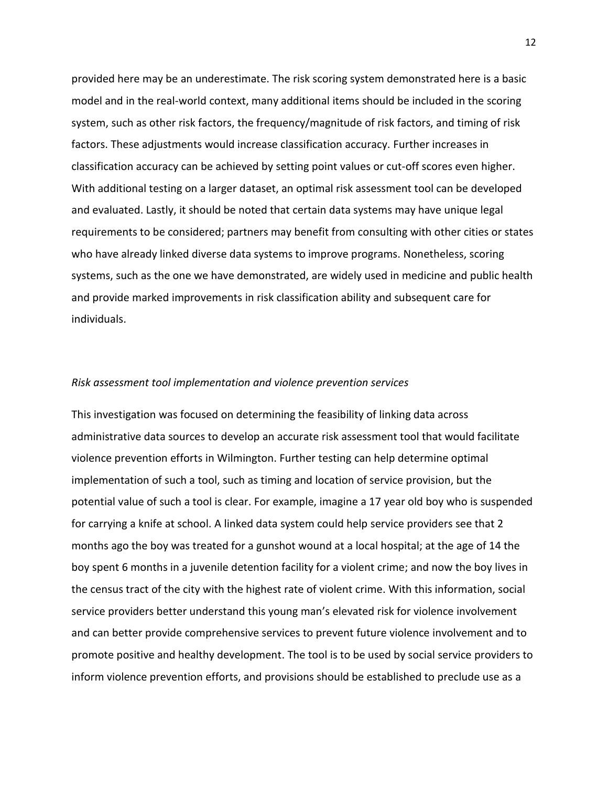provided here may be an underestimate. The risk scoring system demonstrated here is a basic model and in the real-world context, many additional items should be included in the scoring system, such as other risk factors, the frequency/magnitude of risk factors, and timing of risk factors. These adjustments would increase classification accuracy. Further increases in classification accuracy can be achieved by setting point values or cut-off scores even higher. With additional testing on a larger dataset, an optimal risk assessment tool can be developed and evaluated. Lastly, it should be noted that certain data systems may have unique legal requirements to be considered; partners may benefit from consulting with other cities or states who have already linked diverse data systems to improve programs. Nonetheless, scoring systems, such as the one we have demonstrated, are widely used in medicine and public health and provide marked improvements in risk classification ability and subsequent care for individuals.

#### *Risk assessment tool implementation and violence prevention services*

This investigation was focused on determining the feasibility of linking data across administrative data sources to develop an accurate risk assessment tool that would facilitate violence prevention efforts in Wilmington. Further testing can help determine optimal implementation of such a tool, such as timing and location of service provision, but the potential value of such a tool is clear. For example, imagine a 17 year old boy who is suspended for carrying a knife at school. A linked data system could help service providers see that 2 months ago the boy was treated for a gunshot wound at a local hospital; at the age of 14 the boy spent 6 months in a juvenile detention facility for a violent crime; and now the boy lives in the census tract of the city with the highest rate of violent crime. With this information, social service providers better understand this young man's elevated risk for violence involvement and can better provide comprehensive services to prevent future violence involvement and to promote positive and healthy development. The tool is to be used by social service providers to inform violence prevention efforts, and provisions should be established to preclude use as a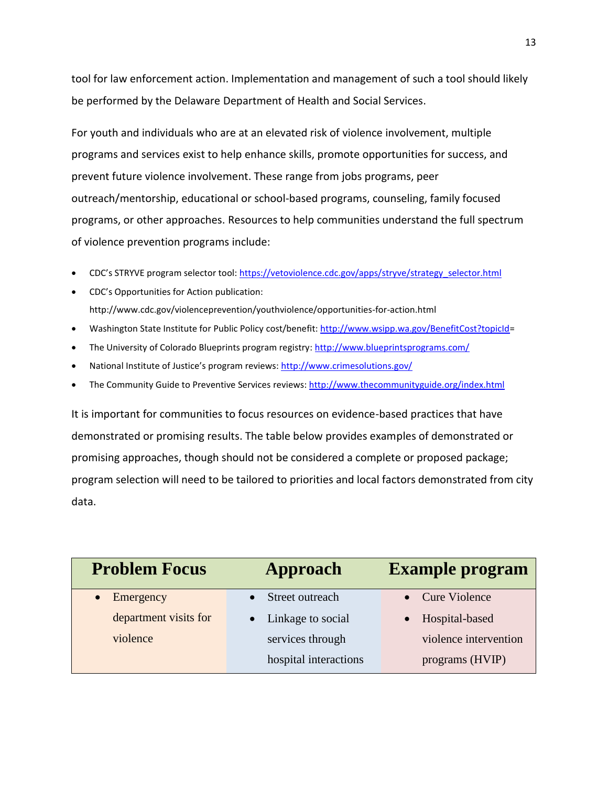tool for law enforcement action. Implementation and management of such a tool should likely be performed by the Delaware Department of Health and Social Services.

For youth and individuals who are at an elevated risk of violence involvement, multiple programs and services exist to help enhance skills, promote opportunities for success, and prevent future violence involvement. These range from jobs programs, peer outreach/mentorship, educational or school-based programs, counseling, family focused programs, or other approaches. Resources to help communities understand the full spectrum of violence prevention programs include:

- CDC's STRYVE program selector tool: [https://vetoviolence.cdc.gov/apps/stryve/strategy\\_selector.html](https://vetoviolence.cdc.gov/apps/stryve/strategy_selector.html)
- CDC's Opportunities for Action publication: http://www.cdc.gov/violenceprevention/youthviolence/opportunities-for-action.html
- Washington State Institute for Public Policy cost/benefit[: http://www.wsipp.wa.gov/BenefitCost?topicId=](http://www.wsipp.wa.gov/BenefitCost?topicId)
- The University of Colorado Blueprints program registry: <http://www.blueprintsprograms.com/>
- National Institute of Justice's program reviews: <http://www.crimesolutions.gov/>
- The Community Guide to Preventive Services reviews[: http://www.thecommunityguide.org/index.html](http://www.thecommunityguide.org/index.html)

It is important for communities to focus resources on evidence-based practices that have demonstrated or promising results. The table below provides examples of demonstrated or promising approaches, though should not be considered a complete or proposed package; program selection will need to be tailored to priorities and local factors demonstrated from city data.

| <b>Problem Focus</b>  | Approach              | <b>Example program</b> |
|-----------------------|-----------------------|------------------------|
| Emergency             | Street outreach       | • Cure Violence        |
| department visits for | • Linkage to social   | Hospital-based         |
| violence              | services through      | violence intervention  |
|                       | hospital interactions | programs (HVIP)        |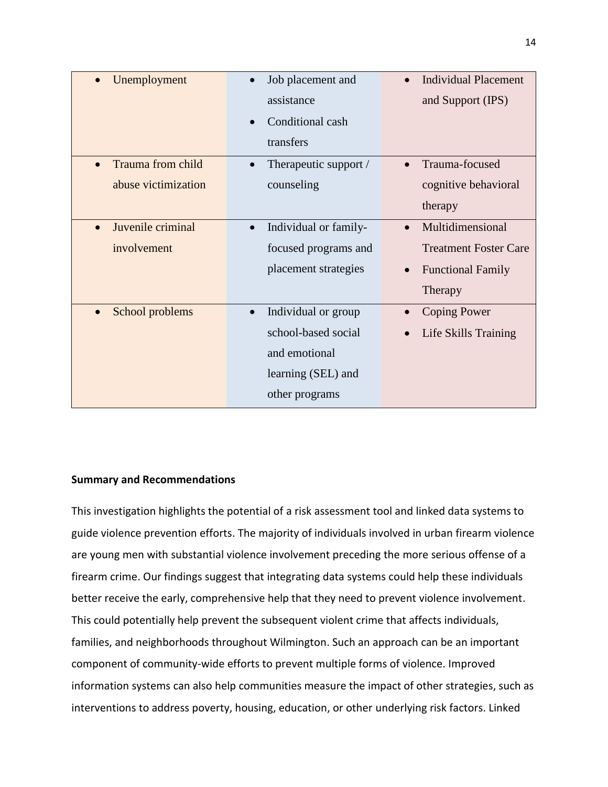| Unemployment        | Job placement and                | <b>Individual Placement</b>           |
|---------------------|----------------------------------|---------------------------------------|
|                     | assistance                       | and Support (IPS)                     |
|                     | Conditional cash                 |                                       |
|                     | transfers                        |                                       |
| Trauma from child   | Therapeutic support /            | Trauma-focused                        |
| abuse victimization | counseling                       | cognitive behavioral                  |
|                     |                                  | therapy                               |
| Juvenile criminal   | Individual or family-            | Multidimensional                      |
| involvement         | focused programs and             | <b>Treatment Foster Care</b>          |
|                     | placement strategies             | <b>Functional Family</b><br>$\bullet$ |
|                     |                                  | Therapy                               |
| School problems     | Individual or group<br>$\bullet$ | <b>Coping Power</b><br>$\bullet$      |
|                     | school-based social              | Life Skills Training                  |
|                     | and emotional                    |                                       |
|                     | learning (SEL) and               |                                       |
|                     | other programs                   |                                       |

## **Summary and Recommendations**

This investigation highlights the potential of a risk assessment tool and linked data systems to guide violence prevention efforts. The majority of individuals involved in urban firearm violence are young men with substantial violence involvement preceding the more serious offense of a firearm crime. Our findings suggest that integrating data systems could help these individuals better receive the early, comprehensive help that they need to prevent violence involvement. This could potentially help prevent the subsequent violent crime that affects individuals, families, and neighborhoods throughout Wilmington. Such an approach can be an important component of community-wide efforts to prevent multiple forms of violence. Improved information systems can also help communities measure the impact of other strategies, such as interventions to address poverty, housing, education, or other underlying risk factors. Linked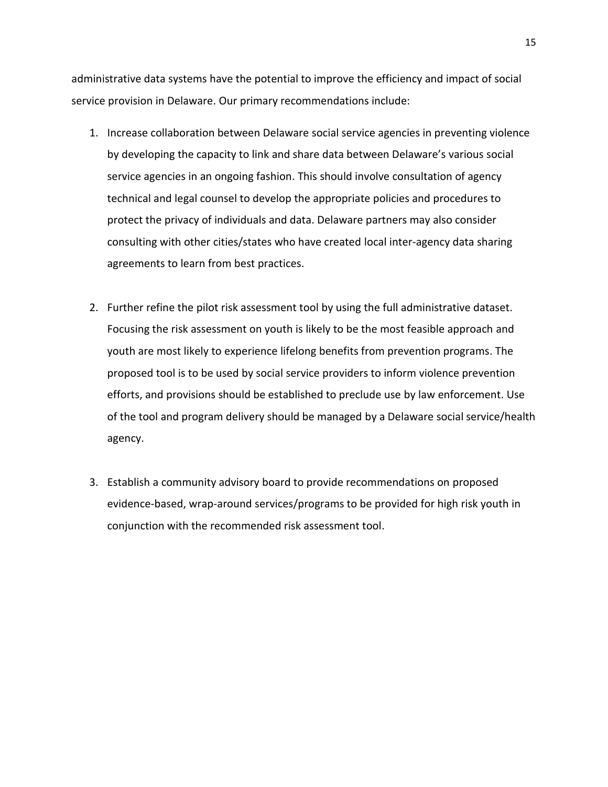administrative data systems have the potential to improve the efficiency and impact of social service provision in Delaware. Our primary recommendations include:

- 1. Increase collaboration between Delaware social service agencies in preventing violence by developing the capacity to link and share data between Delaware's various social service agencies in an ongoing fashion. This should involve consultation of agency technical and legal counsel to develop the appropriate policies and procedures to protect the privacy of individuals and data. Delaware partners may also consider consulting with other cities/states who have created local inter-agency data sharing agreements to learn from best practices.
- 2. Further refine the pilot risk assessment tool by using the full administrative dataset. Focusing the risk assessment on youth is likely to be the most feasible approach and youth are most likely to experience lifelong benefits from prevention programs. The proposed tool is to be used by social service providers to inform violence prevention efforts, and provisions should be established to preclude use by law enforcement. Use of the tool and program delivery should be managed by a Delaware social service/health agency.
- 3. Establish a community advisory board to provide recommendations on proposed evidence-based, wrap-around services/programs to be provided for high risk youth in conjunction with the recommended risk assessment tool.